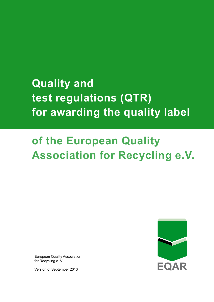# **Quality and test regulations (QTR) for awarding the quality label**

# **of the European Quality Association for Recycling e.V.**

EQAR

European Quality Association for Recycling e. V.

Version of September 2013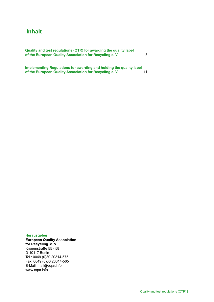## **Inhalt**

| Quality and test regulations (QTR) for awarding the quality label |  |
|-------------------------------------------------------------------|--|
| of the European Quality Association for Recycling e. V.           |  |

**Implementing Regulations for awarding and holding the quality label of the European Quality Association for Recycling e. V.** 11

**Herausgeber European Quality Association for Recycling e. V.** Kronenstraße 55 - 58 D-10117 Berlin Tel.: 0049 (0)30 20314-575 Fax: 0049 (0)30 20314-565 E-Mail: mail@eqar.info www.eqar.info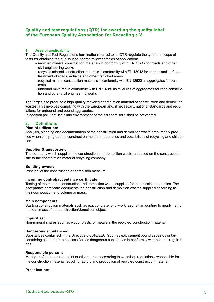## **Quality and test regulations (QTR) for awarding the quality label of the European Quality Association for Recycling e.V.**

#### **1. Area of applicability**

The Quality and Test Regulations hereinafter referred to as QTR regulate the type and scope of tests for obtaining the quality label for the following fields of application:

- recycled mineral construction materials in conformity with EN 13242 for roads and other civil engineering works
- recycled mineral construction materials in conformity with EN 13043 for asphalt and surface treatment of roads, airfields and other trafficked areas
- recycled mineral construction materials in conformity with EN 12620 as aggregates for con crete
- unbound mixtures in conformity with EN 13285 as mixtures of aggregates for road construc tion and other civil engineering works

The target is to produce a high-quality recycled construction material of construction and demolition wastes. This involves complying with the European and, if necessary, national standards and regulations for unbound and bound aggregates.

In addition pollutant input into environment or the adjacent soils shall be prevented.

#### **2. Definitions**

#### **Plan of utilization:**

Analysis, planning and documentation of the construction and demolition waste presumably produced when carrying out the construction measure, quantities and possibilities of recycling and utilization.

#### **Supplier (transporter):**

The company which supplies the construction and demolition waste produced on the construction site to the construction material recycling company.

#### **Building owner:**

Principal of the construction or demolition measure

#### **Incoming control/acceptance certificate:**

Testing of the mineral construction and demolition waste supplied for inadmissible impurities. The acceptance certificate documents the construction and demolition wastes supplied according to their composition and volume or mass.

#### **Main components:**

Starting construction materials such as e.g. concrete, brickwork, asphalt amounting to nearly half of the total mass of the construction/demolition object.

#### **Impurities:**

Non-mineral shares such as wood, plastic or metals in the recycled construction material

#### **Dangerous substances:**

Substances contained in the Directive 67/548/EEC (such as e.g. cement bound asbestos or tarcontaining asphalt) or to be classified as dangerous substances in conformity with national regulations.

#### **Responsible person:**

Manager of the operating point or other person according to workshop regulations responsible for the construction material recycling factory and production of recycled construction material.

#### **Preselection:**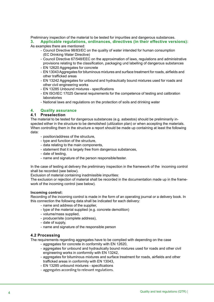Preliminary inspection of the material to be tested for impurities and dangerous substances.

**3. Applicable regulations, ordinances, directives (in their effective versions):** As examples there are mentioned:

- Council Directive 98/83/EC on the quality of water intended for human consumption (EC Drinking Water Directive)
- Council Directive 67/548/EEC on the approximation of laws, regulations and administrative provisions relating to the classification, packaging und labelling of dangerous substances
- EN 12620 Aggregates for concrete
- EN 13043 Aggregates for bituminous mixtures and surface treatment for roads, airfields and other trafficked areas
- EN 13242 Aggregates for unbound and hydraulically bound mixtures used for roads and other civil engineering works
- EN 13285 Unbound mixtures specifications
- EN ISO/IEC 17025 General requirements for the competence of testing and calibration laboratories
- National laws and regulations on the protection of soils and drinking water

#### **4. Quality assurance**

## **4.1 Preselection**

The material to be tested for dangerous substances (e.g. asbestos) should be preliminarily inspected either in the structure to be demolished (utilization plan) or when accepting the materials. When controlling them in the structure a report should be made up containing at least the following data:

- position/address of the structure,
- type and function of the structure,
- data relating to the main components,
- statement that it is largely free from dangerous substances,
- date of testing,
- name and signature of the person responsible/tester.

In the case of testing at delivery the preliminary inspection in the framework of the incoming control shall be recorded (see below).

Exclusion of material containing inadmissible impurities:

The exclusion or rejection of material shall be recorded in the documentation made up in the framework of the incoming control (see below).

#### **Incoming control:**

Recording of the incoming control is made in the form of an operating journal or a delivery book. In this connection the following data shall be indicated for each delivery:

- name and address of the supplier,
- type of the material supplied (e.g. concrete demolition)
- volume/mass supplied,
- producer/site (complete address),
- date of supply,
- name and signature of the responsible person

#### **4.2 Processing**

The requirements regarding aggregates have to be complied with depending on the case

- aggregates for concrete in conformity with EN 12620,
- aggregates for unbound and hydraulically bound mixtures used for roads and other civil engineering works in conformity with EN 13242,
- aggregates for bituminous mixtures and surface treatment for roads, airfields and other trafficked areas in conformity with EN 13043,
- EN 13285 unbound mixtures specifications
- aggregates according to relevant regulations.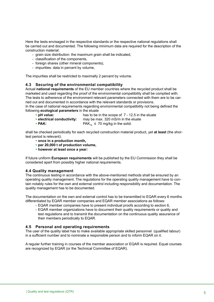Here the tests envisaged in the respective standards or the respective national regulations shall be carried out and documented. The following minimum data are required for the description of the construction material:

- grain size distribution: the maximum grain shall be indicated,
- classification of the components,
- foreign shares (other mineral components),
- impurities: data in percent by volume,

The impurities shall be restricted to maximally 2 percent by volume.

#### **4.3 Securing of the environmental compatibility**

Actual **national requirements** of the EU member countries where the recycled product shall be marketed and used regarding the proof of the environmental compatibility shall be complied with. The tests to adherence of the environment relevant parameters connected with them are to be carried out and documented in accordance with the relevant standards or provisions.

In the case of national requirements regardiing environmental compatibility not being defined the following **ecological parameters** in the eluate

- ▸ **pH value:** has to be in the scope of 7 12.5 in the eluate
- **► electrical conductivity:** may be max. 320 mS/m in the eluate<br>► **PAK:** ► PAK<sub>: ►</sub> 20 mg/kg in the solid.
- $PAK_{16} \leq 70$  mg/kg in the solid.

shall be checked periodically for each recycled construction material product, yet **at least** (the shortest period is relevant):

- ▸ **once in a production month,**
- ▸ **per 20,000 t of production volume,**
- ▸ **however at least once a year:**

If future uniform **European requirements** will be published by the EU Commission they shall be considered apart from possibly higher national requirements.

#### **4.4 Quality management**

The continuous testing in accordance with the above-mentioned methods shall be ensured by an operating quality management. The regulations for the operating quality management have to contain notably rules for the own and external control including responsibility and documentation. The quality management has to be documented.

The documentation on the own and external control has to be transmitted to EQAR every 6 months differentiated by EQAR member companies and EQAR member associations as follows:

- EQAR member companies have to present individual proofs according to section 6,
- EQAR member organizations have to document their quality requirements or quality and test regulations and to transmit the documentation on the continuous quality assurance of their members periodically to EQAR.

#### **4.5 Personal and operating requirements**

The user of the quality label has to make available appropriate skilled personnel (qualified labour) in a sufficient number and to nominate a responsible person and to inform EQAR on it.

A regular further training in courses of the member association or EQAR is required. Equal courses are recognized by EQAR (or the Technical Committee of EQAR).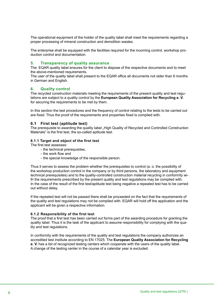The operational equipment of the holder of the quality label shall meet the requirements regarding a proper processing of mineral construction and demolition wastes.

The enterprise shall be equipped with the facilities required for the incoming control, workshop production control and documentation.

#### **5. Transparency of quality assurance**

The EQAR quality label ensures for the client to dispose of the respective documents and to meet the above-mentioned requirements.

The user of the quality label shall present to the EQAR office all documents not older than 6 months in German and English.

#### **6. Quality control**

The recycled construction materials meeting the requirements of the present quality and test regulations are subject to a quality control by the **European Quality Association for Recycling e. V.** for securing the requirements to be met by them.

In this section the test procedures and the frequency of control relating to the tests to be carried out are fixed. Thus the proof of the requirements and properties fixed is complied with.

#### **6.1 First test (aptitude test)**

The prerequisite to awarding the quality label . High Quality of Recycled and Controlled Construction Materials" is the first test, the so-called aptitude test.

#### **6.1.1 Target and object of the first test**

The first test assesses:

- the technical prerequisites,
- the work flow and
- the special knowledge of the responsible person.

Thus it serves to assess the problem whether the prerequisites to control (a. o. the possibility of the workshop production control in the company or by third persons, the laboratory and equipment technical prerequisites) and to the quality-controlled construction material recycling in conformity with the requirements prescribed by the present quality and test regulations may be complied with. In the case of the result of the first test/aptitude test being negative a repeated test has to be carried out without delay.

If the repeated test will not be passed there shall be proceeded on the fact that the requirements of the quality and test regulations may not be complied with. EQAR will hold off the application and the applicant will be given a respective information.

#### **6.1.2 Responsibility of the first test**

The proof that a first test has been carried out forms part of the awarding procedure for granting the quality label. Thus it is the task of the applicant to assume responsibility for complying with the quality and test regulations.

In conformity with the requirements of the quality and test regulations the company authorizes an accredited test institute according to EN 17025. The **European Quality Association for Recycling e. V.** has a list of recognized testing centers which cooperate with the users of the quality label. A change of the testing center in the course of a calendar year is excluded.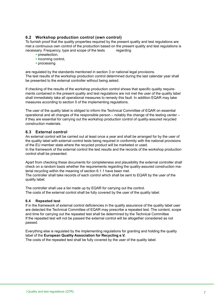## **6.2 Workshop production control (own control)**

To furnish proof that the quality properties required by the present quality and test regulations are met a continuous own control of the production based on the present quality and test regulations is necessary. Frequency, type and scope of the tests regarding

- ▸ preselection,
- ▸ incoming control,
- ▸ processing

are regulated by the standards mentioned in section 3 or national legal provisions. The test results of the workshop production control determined during the last calendar year shall be presented to the external controller without being asked.

If checking of the results of the workshop production control shows that specific quality requirements contained in the present quality and test regulations are not met the user of the quality label shall immediately take all operational measures to remedy this fault. In addition EQAR may take measures according to section 5 of the implementing regulations.

The user of the quality label is obliged to inform the Technical Committee of EQAR on essential operational and all changes of the responsible person – notably the change of the testing center – if they are essential for carrying out the workshop production control of quality-assured recycled construction materials.

#### **6.3 External control**

An external control will be carried out at least once a year and shall be arranged for by the user of the quality label with external control tests being required in conformity with the national provisions of the EU member state where the recycled product will be marketed or used. In the framework of the external control the test results and the records of the workshop production control shall be presented.

Apart from checking these documents for completeness and plausibility the external controller shall check on a random basis whether the requirements regarding the quality-assured construction material recycling within the meaning of section 6.1.1 have been met.

The controller shall take records of each control which shall be sent to EQAR by the user of the quality label.

The controller shall use a list made up by EQAR for carrying out the control. The costs of the external control shall be fully covered by the user of the quality label.

#### **6.4 Repeated test**

If in the framework of external control deficiencies in the quality assurance of the quality label user are detected the Technical Committee of EQAR may prescribe a repeated test. The content, scope and time for carrying out the repeated test shall be determined by the Technical Committee If the repeated test will not be passed the external control will be altogether considered as not passed.

Everything else is regulated by the implementing regulations for granting and holding the quality label of the **European Quality Association for Recycling e.V.**  The costs of the repeated test shall be fully covered by the user of the quality label.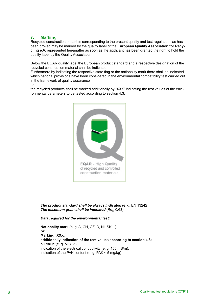## **7. Marking**

Recycled construction materials corresponding to the present quality and test regulations as has been proved may be marked by the quality label of the **European Quality Association for Recycling e.V.** represented hereinafter as soon as the applicant has been granted the right to hold the quality label by the Quality Association.

Below the EQAR quality label the European product standard and a respective designation of the recycled construction material shall be indicated.

Furthermore by indicating the respective state flag or the nationality mark there shall be indicated which national provisions have been considered in the environmental compatibility test carried out in the framework of quality assurance

or

the recycled products shall be marked additionally by "XXX" indicating the test values of the environmental parameters to be tested according to section 4.3.



**The product standard shall be always indicated** (e. g. EN 13242) **The maximum grain shall be indicated** (Rc<sub>oo</sub> 0/63)

#### *Data required for the environmental test:*

 **Nationality mark** (e. g. A, CH, CZ, D, NL,SK…) *or* **Marking: XXX, additionally indication of the test values according to section 4.3:** pH value (e. g. pH 8,5), indication of the electrical conductivity (e. g. 150 mS/m), indication of the PAK content (e. g. PAK < 5 mg/kg)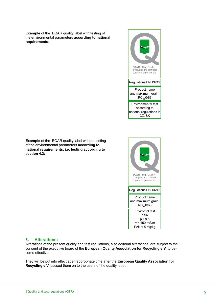**Example** of the EQAR quality label with testing of the environmental parameters **according to national requirements:**



**Example** of the EQAR quality label without testing of the environmental parameters **according to national requirements, i.e. testing according to section 4.3:**



#### **8. Alterations:**

Alterations of the present quality and test regulations, also editorial alterations, are subject to the consent of the executive board of the **European Quality Association for Recycling e.V.** to become effective.

They will be put into effect at an appropriate time after the **European Quality Association for Recycling e.V.** passed them on to the users of the quality label.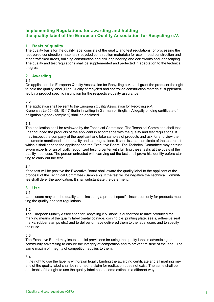## **Implementing Regulations for awarding and holding the quality label of the European Quality Association for Recycling e.V.**

## **1. Basis of quality**

The quality basis for the quality label consists of the quality and test regulations for processing the recovered construction materials (recycled construction materials) for use in road construction and other trafficked areas, building construction and civil engineering and earthworks and landscaping. The quality and test regulations shall be supplemented and perfected in adaptation to the technical progress.

#### **2. Awarding**

#### **2.1**

On application the European Quality Association for Recycling e.V. shall grant the producer the right to hold the quality label "High Quality of recycled and controlled construction materials" supplemented by a product specific inscription for the respective quality assurance.

#### **2.2**

The application shall be sent to the European Quality Association for Recycling e.V., Kronenstraße 55 - 58, 10117 Berlin in writing in German or English. A legally binding certificate of obligation signed (sample 1) shall be enclosed.

#### **2.3**

The application shall be reviewed by the Technical Committee. The Technical Committee shall test unannounced the products of the applicant in accordance with the quality and test regulations. It may inspect the company of the applicant and take samples of products and ask for and view the documents mentioned in the quality and test regulations. It shall issue a certificate of the test result which it shall send to the applicant and the Executive Board. The Technical Committee may entrust sworn experts or an officially recognized testing center with fulfilling these tasks at the costs of the quality label user. The person entrusted with carrying out the test shall prove his identity before starting to carry out the test.

#### **2.4**

If the test will be positive the Executive Board shall award the quality label to the applicant at the proposal of the Technical Committee (Sample 2). It the test will be negative the Technical Committee shall defer the application. It shall substantiate the deferment.

#### **3. Use**

#### **3.1**

Label users may use the quality label including a product specific inscription only for products meeting the quality and test regulations.

## **3.2**

The European Quality Association for Recycling e.V. alone is authorized to have produced the marking means of the quality label (metal coinage, coining die, printing plate, seals, adhesive seal marks, rubber stamps etc.) and to deliver or have delivered them to the label users and to specify their use.

#### **3.3**

The Executive Board may issue special provisions for using the quality label in advertising and community advertising to ensure the integrity of competition and to prevent misuse of the label. The same maxim of integrity of competition applies to them.

#### **3.4**

If the right to use the label is withdrawn legally binding the awarding certificate and all marking means of the quality label shall be returned; a claim for restitution does not exist. The same shall be applicable if the right to use the quality label has become extinct in a different way.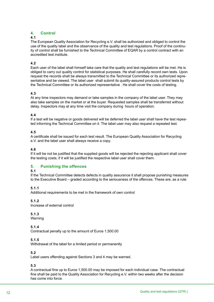## **4. Control**

## **4.1**

The European Quality Association for Recycling e.V. shall be authorized and obliged to control the use of the quality label and the observance of the quality and test regulations. Proof of the continuity of control shall be furnished to the Technical Committee of EQAR by a control contract with an accredited test institute.

## **4.2**

Each user of the label shall himself take care that the quality and test regulations will be met. He is obliged to carry out quality control for statistical purposes. He shall carefully record own tests. Upon request the records shall be always transmitted to the Technical Committee or its authorized representative and be viewed. The label user shall submit its quality-assured products control tests by the Technical Committee or its authorized representative . He shall cover the costs of testing.

#### **4.3**

At any time inspectors may demand or take samples in the company of the label user. They may also take samples on the market or at the buyer. Requested samples shall be transferred without delay. Inspectors may at any time visit the company during hours of operation.

#### **4.4**

If a test will be negative or goods delivered will be deferred the label user shall have the test repeated informing the Technical Committee on it. The label user may also request a repeated test.

#### **4.5**

A certificate shall be issued for each test result. The European Quality Association for Recycling e.V. and the label user shall always receive a copy.

#### **4.6**

If it will be not be justified that the supplied goods will be rejected the rejecting applicant shall cover the testing costs; if it will be justified the respective label user shall cover them.

## **5. Punishing the offences**

#### **5.1**

If the Technical Committee detects defects in quality assurance it shall propose punishing measures to the Executive Board – graded according to the seriousness of the offences. These are, as a rule:

## **5.1.1**

Additional requirements to be met in the framework of own control

## **5.1.2**

Increase of external control

## **5.1.3**

Warning

## **5.1.4**

Contractual penalty up to the amount of Euros 1,500.00

## **5.1.5**

Withdrawal of the label for a limited period or permanently

## **5.2**

Label users offending against Sections 3 and 4 may be warned.

## **5.3**

A contractual fine up to Euros 1,500.00 may be imposed for each individual case. The contractual fine shall be paid to the Quality Association for Recycling e.V. within two weeks after the decision has come into force.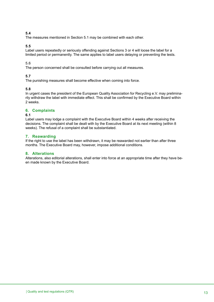## **5.4**

The measures mentioned in Section 5.1 may be combined with each other.

#### **5.5**

Label users repeatedly or seriously offending against Sections 3 or 4 will loose the label for a limited period or permanently. The same applies to label users delaying or preventing the tests.

#### 5.6

The person concerned shall be consulted before carrying out all measures.

#### **5.7**

The punishing measures shall become effective when coming into force.

#### **5.8**

In urgent cases the president of the European Quality Association for Recycling e.V. may preliminarily withdraw the label with immediate effect. This shall be confirmed by the Executive Board within 2 weeks.

## **6. Complaints**

#### **6.1**

Label users may lodge a complaint with the Executive Board within 4 weeks after receiving the decisions. The complaint shall be dealt with by the Executive Board at its next meeting (within 8 weeks). The refusal of a complaint shall be substantiated.

#### **7. Reawarding**

If the right to use the label has been withdrawn, it may be reawarded not earlier than after three months. The Executive Board may, however, impose additional conditions.

#### **8. Alterations**

Alterations, also editorial alterations, shall enter into force at an appropriate time after they have been made known by the Executive Board.